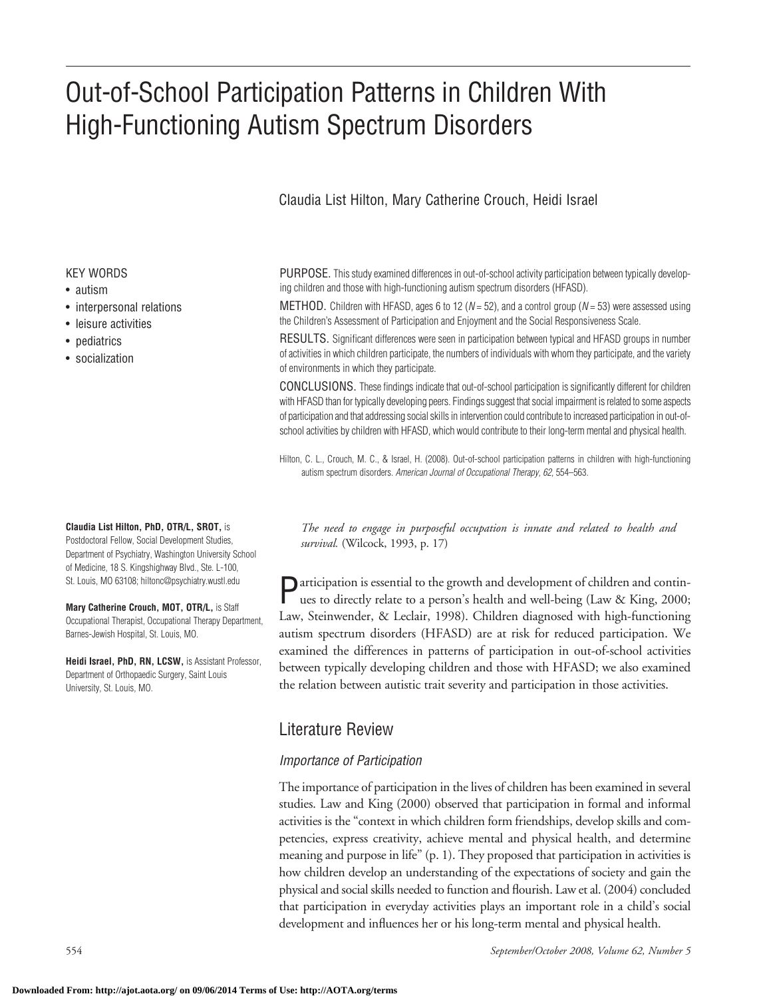# Out-of-School Participation Patterns in Children With High-Functioning Autism Spectrum Disorders

## Claudia List Hilton, Mary Catherine Crouch, Heidi Israel

#### KEY WORDS

- autism
- interpersonal relations
- leisure activities
- pediatrics
- socialization

#### **Claudia List Hilton, PhD, OTR/L, SROT,** is

Postdoctoral Fellow, Social Development Studies, Department of Psychiatry, Washington University School of Medicine, 18 S. Kingshighway Blvd., Ste. L-100, St. Louis, MO 63108; hiltonc@psychiatry.wustl.edu

**Mary Catherine Crouch, MOT, OTR/L,** is Staff Occupational Therapist, Occupational Therapy Department, Barnes-Jewish Hospital, St. Louis, MO.

**Heidi Israel, PhD, RN, LCSW,** is Assistant Professor, Department of Orthopaedic Surgery, Saint Louis University, St. Louis, MO.

PURPOSE. This study examined differences in out-of-school activity participation between typically developing children and those with high-functioning autism spectrum disorders (HFASD).

METHOD. Children with HFASD, ages 6 to 12 (*N* = 52), and a control group (*N* = 53) were assessed using the Children's Assessment of Participation and Enjoyment and the Social Responsiveness Scale.

RESULTS. Significant differences were seen in participation between typical and HFASD groups in number of activities in which children participate, the numbers of individuals with whom they participate, and the variety of environments in which they participate.

CONCLUSIONS. These findings indicate that out-of-school participation is significantly different for children with HFASD than for typically developing peers. Findings suggest that social impairment is related to some aspects of participation and that addressing social skills in intervention could contribute to increased participation in out-ofschool activities by children with HFASD, which would contribute to their long-term mental and physical health.

Hilton, C. L., Crouch, M. C., & Israel, H. (2008). Out-of-school participation patterns in children with high-functioning autism spectrum disorders. *American Journal of Occupational Therapy, 62,* 554–563.

*The need to engage in purposeful occupation is innate and related to health and survival.* (Wilcock, 1993, p. 17)

articipation is essential to the growth and development of children and continues to directly relate to a person's health and well-being (Law & King, 2000; Law, Steinwender, & Leclair, 1998). Children diagnosed with high-functioning autism spectrum disorders (HFASD) are at risk for reduced participation. We examined the differences in patterns of participation in out-of-school activities between typically developing children and those with HFASD; we also examined the relation between autistic trait severity and participation in those activities.

# Literature Review

#### *Importance of Participation*

The importance of participation in the lives of children has been examined in several studies. Law and King (2000) observed that participation in formal and informal activities is the "context in which children form friendships, develop skills and competencies, express creativity, achieve mental and physical health, and determine meaning and purpose in life" (p. 1). They proposed that participation in activities is how children develop an understanding of the expectations of society and gain the physical and social skills needed to function and flourish. Law et al. (2004) concluded that participation in everyday activities plays an important role in a child's social development and influences her or his long-term mental and physical health.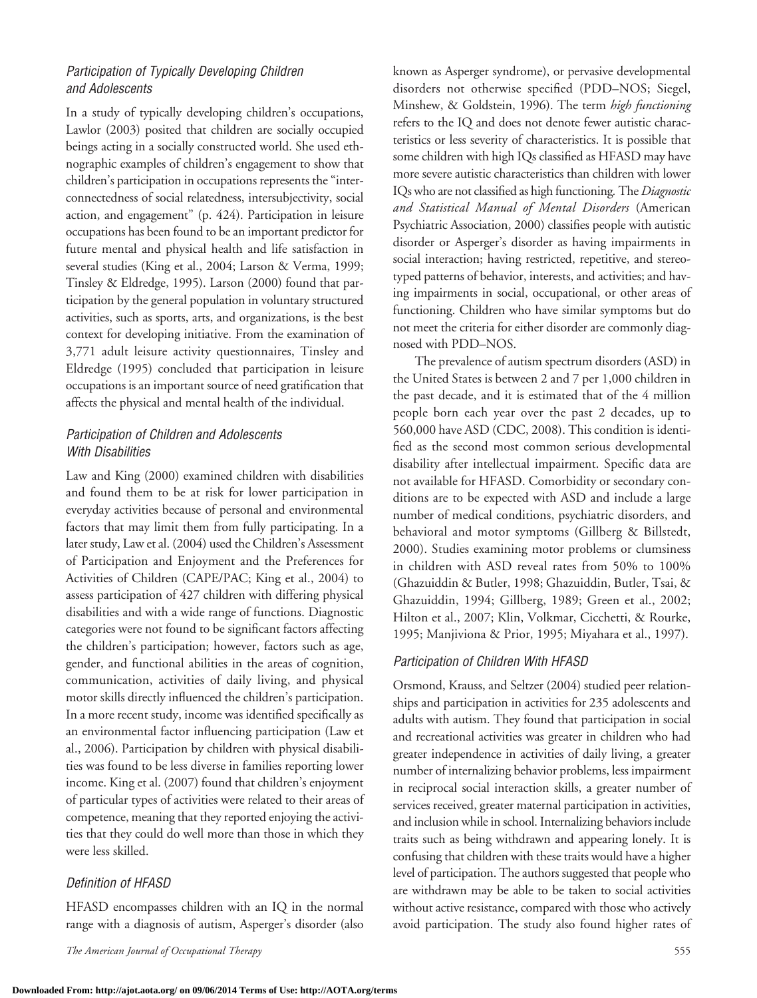## *Participation of Typically Developing Children and Adolescents*

In a study of typically developing children's occupations, Lawlor (2003) posited that children are socially occupied beings acting in a socially constructed world. She used ethnographic examples of children's engagement to show that children's participation in occupations represents the "interconnectedness of social relatedness, intersubjectivity, social action, and engagement" (p. 424). Participation in leisure occupations has been found to be an important predictor for future mental and physical health and life satisfaction in several studies (King et al., 2004; Larson & Verma, 1999; Tinsley & Eldredge, 1995). Larson (2000) found that participation by the general population in voluntary structured activities, such as sports, arts, and organizations, is the best context for developing initiative. From the examination of 3,771 adult leisure activity questionnaires, Tinsley and Eldredge (1995) concluded that participation in leisure occupations is an important source of need gratification that affects the physical and mental health of the individual.

## *Participation of Children and Adolescents With Disabilities*

Law and King (2000) examined children with disabilities and found them to be at risk for lower participation in everyday activities because of personal and environmental factors that may limit them from fully participating. In a later study, Law et al. (2004) used the Children's Assessment of Participation and Enjoyment and the Preferences for Activities of Children (CAPE/PAC; King et al., 2004) to assess participation of 427 children with differing physical disabilities and with a wide range of functions. Diagnostic categories were not found to be significant factors affecting the children's participation; however, factors such as age, gender, and functional abilities in the areas of cognition, communication, activities of daily living, and physical motor skills directly influenced the children's participation. In a more recent study, income was identified specifically as an environmental factor influencing participation (Law et al., 2006). Participation by children with physical disabilities was found to be less diverse in families reporting lower income. King et al. (2007) found that children's enjoyment of particular types of activities were related to their areas of competence, meaning that they reported enjoying the activities that they could do well more than those in which they were less skilled.

#### *Definition of HFASD*

HFASD encompasses children with an IQ in the normal range with a diagnosis of autism, Asperger's disorder (also

*The American Journal of Occupational Therapy* 555

known as Asperger syndrome), or pervasive developmental disorders not otherwise specified (PDD–NOS; Siegel, Minshew, & Goldstein, 1996). The term *high functioning* refers to the IQ and does not denote fewer autistic characteristics or less severity of characteristics. It is possible that some children with high IQs classified as HFASD may have more severe autistic characteristics than children with lower IQswho are not classified as high functioning*.* The *Diagnostic and Statistical Manual of Mental Disorders* (American Psychiatric Association, 2000) classifies people with autistic disorder or Asperger's disorder as having impairments in social interaction; having restricted, repetitive, and stereotyped patterns of behavior, interests, and activities; and having impairments in social, occupational, or other areas of functioning. Children who have similar symptoms but do not meet the criteria for either disorder are commonly diagnosed with PDD–NOS.

The prevalence of autism spectrum disorders (ASD) in the United States is between 2 and 7 per 1,000 children in the past decade, and it is estimated that of the 4 million people born each year over the past 2 decades, up to 560,000 have ASD (CDC, 2008). This condition is identified as the second most common serious developmental disability after intellectual impairment. Specific data are not available for HFASD. Comorbidity or secondary conditions are to be expected with ASD and include a large number of medical conditions, psychiatric disorders, and behavioral and motor symptoms (Gillberg & Billstedt, 2000). Studies examining motor problems or clumsiness in children with ASD reveal rates from 50% to 100% (Ghazuiddin & Butler, 1998; Ghazuiddin, Butler, Tsai, & Ghazuiddin, 1994; Gillberg, 1989; Green et al., 2002; Hilton et al., 2007; Klin, Volkmar, Cicchetti, & Rourke, 1995; Manjiviona & Prior, 1995; Miyahara et al., 1997).

## *Participation of Children With HFASD*

Orsmond, Krauss, and Seltzer (2004) studied peer relationships and participation in activities for 235 adolescents and adults with autism. They found that participation in social and recreational activities was greater in children who had greater independence in activities of daily living, a greater number of internalizing behavior problems, less impairment in reciprocal social interaction skills, a greater number of services received, greater maternal participation in activities, and inclusion while in school. Internalizing behaviors include traits such as being withdrawn and appearing lonely. It is confusing that children with these traits would have a higher level of participation. The authors suggested that people who are withdrawn may be able to be taken to social activities without active resistance, compared with those who actively avoid participation. The study also found higher rates of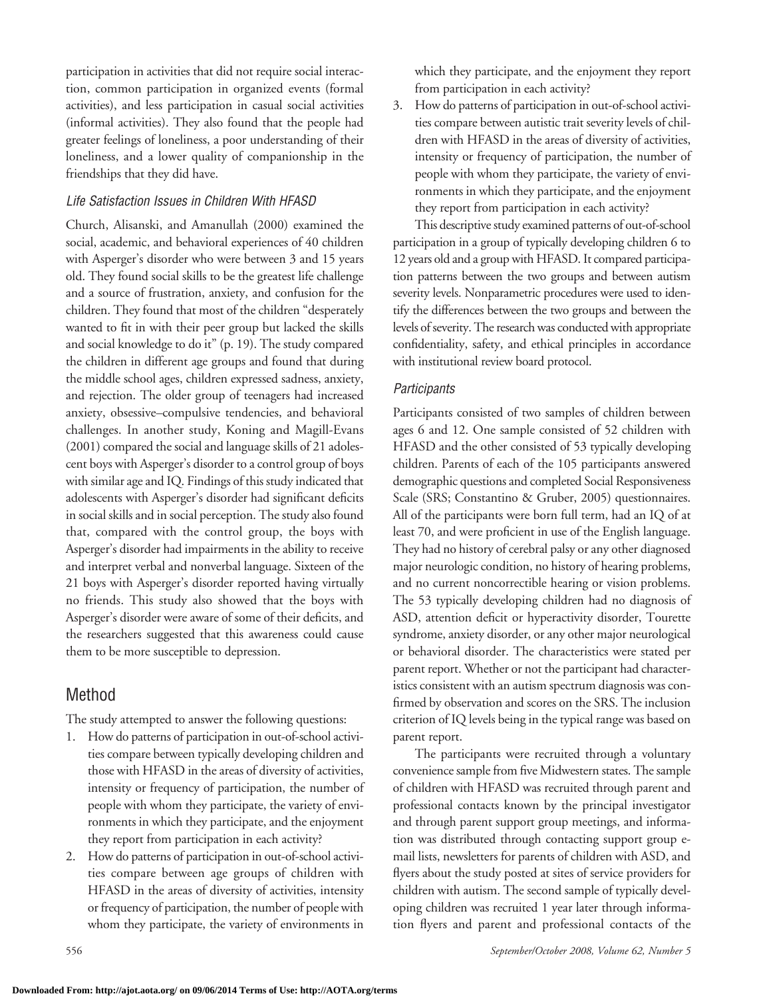participation in activities that did not require social interaction, common participation in organized events (formal activities), and less participation in casual social activities (informal activities). They also found that the people had greater feelings of loneliness, a poor understanding of their loneliness, and a lower quality of companionship in the friendships that they did have.

#### *Life Satisfaction Issues in Children With HFASD*

Church, Alisanski, and Amanullah (2000) examined the social, academic, and behavioral experiences of 40 children with Asperger's disorder who were between 3 and 15 years old. They found social skills to be the greatest life challenge and a source of frustration, anxiety, and confusion for the children. They found that most of the children "desperately wanted to fit in with their peer group but lacked the skills and social knowledge to do it" (p. 19). The study compared the children in different age groups and found that during the middle school ages, children expressed sadness, anxiety, and rejection. The older group of teenagers had increased anxiety, obsessive–compulsive tendencies, and behavioral challenges. In another study, Koning and Magill-Evans  $(2001)$  compared the social and language skills of 21 adolescent boys with Asperger's disorder to a control group of boys with similar age and IQ. Findings of this study indicated that adolescents with Asperger's disorder had significant deficits in social skills and in social perception. The study also found that, compared with the control group, the boys with Asperger's disorder had impairments in the ability to receive and interpret verbal and nonverbal language. Sixteen of the 21 boys with Asperger's disorder reported having virtually no friends. This study also showed that the boys with Asperger's disorder were aware of some of their deficits, and the researchers suggested that this awareness could cause them to be more susceptible to depression.

## Method

The study attempted to answer the following questions:

- 1. How do patterns of participation in out-of-school activities compare between typically developing children and those with HFASD in the areas of diversity of activities, intensity or frequency of participation, the number of people with whom they participate, the variety of environments in which they participate, and the enjoyment they report from participation in each activity?
- 2. How do patterns of participation in out-of-school activities compare between age groups of children with HFASD in the areas of diversity of activities, intensity or frequency of participation, the number of people with whom they participate, the variety of environments in

which they participate, and the enjoyment they report from participation in each activity?

3. How do patterns of participation in out-of-school activities compare between autistic trait severity levels of children with HFASD in the areas of diversity of activities, intensity or frequency of participation, the number of people with whom they participate, the variety of environments in which they participate, and the enjoyment they report from participation in each activity?

This descriptive study examined patterns of out-of-school participation in a group of typically developing children 6 to 12 years old and a group with HFASD. It compared participation patterns between the two groups and between autism severity levels. Nonparametric procedures were used to identify the differences between the two groups and between the levels of severity. The research was conducted with appropriate confidentiality, safety, and ethical principles in accordance with institutional review board protocol.

#### *Participants*

Participants consisted of two samples of children between ages 6 and 12. One sample consisted of 52 children with HFASD and the other consisted of 53 typically developing children. Parents of each of the 105 participants answered demographic questions and completed Social Responsiveness Scale (SRS; Constantino & Gruber, 2005) questionnaires. All of the participants were born full term, had an IQ of at least 70, and were proficient in use of the English language. They had no history of cerebral palsy or any other diagnosed major neurologic condition, no history of hearing problems, and no current noncorrectible hearing or vision problems. The 53 typically developing children had no diagnosis of ASD, attention deficit or hyperactivity disorder, Tourette syndrome, anxiety disorder, or any other major neurological or behavioral disorder. The characteristics were stated per parent report. Whether or not the participant had characteristics consistent with an autism spectrum diagnosis was confirmed by observation and scores on the SRS. The inclusion criterion of IQ levels being in the typical range was based on parent report.

The participants were recruited through a voluntary convenience sample from five Midwestern states. The sample of children with HFASD was recruited through parent and professional contacts known by the principal investigator and through parent support group meetings, and information was distributed through contacting support group email lists, newsletters for parents of children with ASD, and flyers about the study posted at sites of service providers for children with autism. The second sample of typically developing children was recruited 1 year later through information flyers and parent and professional contacts of the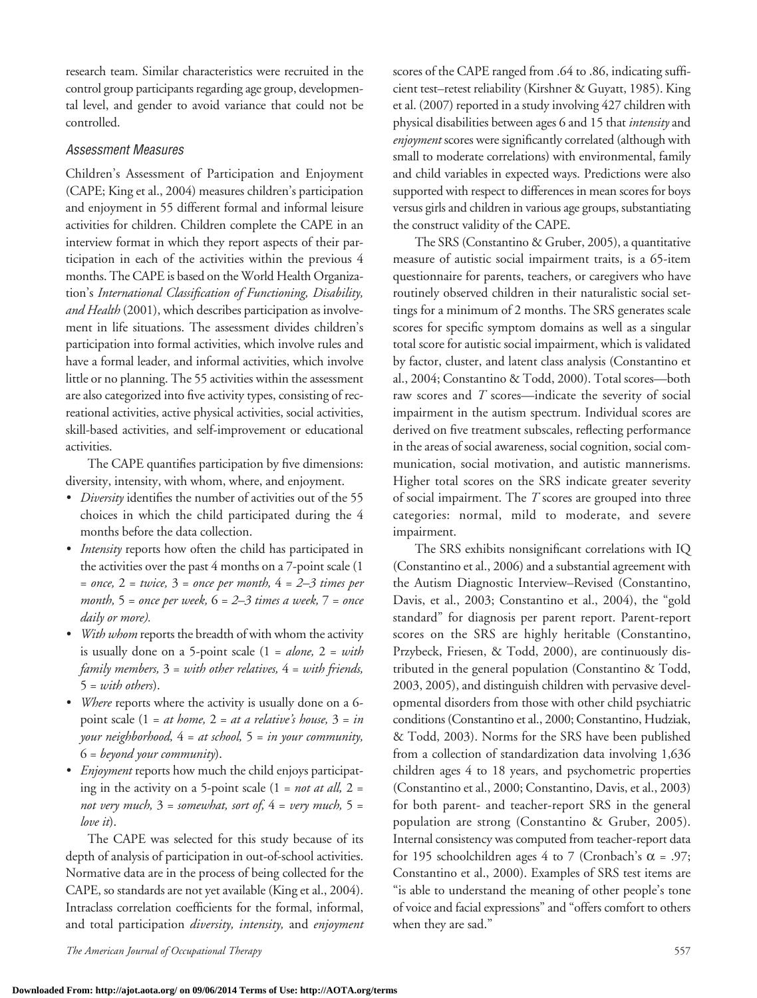research team. Similar characteristics were recruited in the control group participants regarding age group, developmental level, and gender to avoid variance that could not be controlled.

#### *Assessment Measures*

Children's Assessment of Participation and Enjoyment (CAPE; King et al., 2004) measures children's participation and enjoyment in 55 different formal and informal leisure activities for children. Children complete the CAPE in an interview format in which they report aspects of their participation in each of the activities within the previous 4 months. The CAPE is based on the World Health Organization's *International Classification of Functioning, Disability, and Health* (2001), which describes participation as involvement in life situations. The assessment divides children's participation into formal activities, which involve rules and have a formal leader, and informal activities, which involve little or no planning. The 55 activities within the assessment are also categorized into five activity types, consisting of recreational activities, active physical activities, social activities, skill-based activities, and self-improvement or educational activities.

The CAPE quantifies participation by five dimensions: diversity, intensity, with whom, where, and enjoyment.

- *• Diversity* identifies the number of activities out of the 55 choices in which the child participated during the 4 months before the data collection.
- *• Intensity* reports how often the child has participated in the activities over the past 4 months on a 7-point scale (1 = *once,* 2 = *twice,* 3 = *once per month,* 4 = *2–3 times per month,* 5 = *once per week,* 6 = *2–3 times a week,* 7 = *once daily or more).*
- *• With whom* reports the breadth of with whom the activity is usually done on a 5-point scale (1 = *alone,* 2 = *with family members,* 3 = *with other relatives,* 4 = *with friends,*  5 = *with others*).
- *• Where* reports where the activity is usually done on a 6 point scale (1 = *at home,* 2 = *at a relative's house,* 3 = *in your neighborhood,* 4 = *at school,* 5 = *in your community,*  6 = *beyond your community*).
- *• Enjoyment* reports how much the child enjoys participating in the activity on a 5-point scale (1 = *not at all,* 2 = *not very much,* 3 = *somewhat, sort of,* 4 = *very much,* 5 = *love it*).

The CAPE was selected for this study because of its depth of analysis of participation in out-of-school activities. Normative data are in the process of being collected for the CAPE, so standards are not yet available(King et al., 2004). Intraclass correlation coefficients for the formal, informal, and total participation *diversity, intensity,* and *enjoyment*

*The American Journal of Occupational Therapy* 557

scores of the CAPE ranged from .64 to .86, indicating sufficient test–retest reliability (Kirshner & Guyatt, 1985). King et al. (2007) reported in a study involving 427 children with physical disabilities between ages 6 and 15 that *intensity* and *enjoyment* scores were significantly correlated (although with small to moderate correlations) with environmental, family and child variables in expected ways. Predictions were also supported with respect to differences in mean scores for boys versus girls and children in various age groups, substantiating the construct validity of the CAPE.

The SRS (Constantino & Gruber, 2005), a quantitative measure of autistic social impairment traits, is a 65-item questionnaire for parents, teachers, or caregivers who have routinely observed children in their naturalistic social settings for a minimum of 2 months. The SRS generates scale scores for specific symptom domains as well as a singular total score for autistic social impairment, which is validated by factor, cluster, and latent class analysis (Constantino et al., 2004; Constantino & Todd, 2000). Total scores—both raw scores and *T* scores—indicate the severity of social impairment in the autism spectrum. Individual scores are derived on five treatment subscales, reflecting performance in the areas of social awareness, social cognition, social communication, social motivation, and autistic mannerisms. Higher total scores on the SRS indicate greater severity of social impairment. The *T* scores are grouped into three categories: normal, mild to moderate, and severe impairment.

The SRS exhibits nonsignificant correlations with IQ (Constantino et al., 2006) and a substantial agreement with the Autism Diagnostic Interview–Revised (Constantino, Davis, et al., 2003; Constantino et al., 2004), the "gold standard" for diagnosis per parent report. Parent-report scores on the SRS are highly heritable (Constantino, Przybeck, Friesen, & Todd, 2000), are continuously distributed in the general population (Constantino & Todd, 2003, 2005), and distinguish children with pervasive developmental disorders from those with other child psychiatric conditions (Constantino et al., 2000; Constantino, Hudziak, & Todd, 2003). Norms for the SRS have been published from a collection of standardization data involving 1,636 children ages 4 to 18 years, and psychometric properties (Constantino et al., 2000; Constantino, Davis, et al., 2003) for both parent- and teacher-report SRS in the general population are strong (Constantino & Gruber, 2005). Internal consistency was computed from teacher-report data for 195 schoolchildren ages 4 to 7 (Cronbach's  $\alpha$  = .97; Constantino et al., 2000). Examples of SRS test items are "is able to understand the meaning of other people's tone of voice and facial expressions" and "offers comfort to others when they are sad."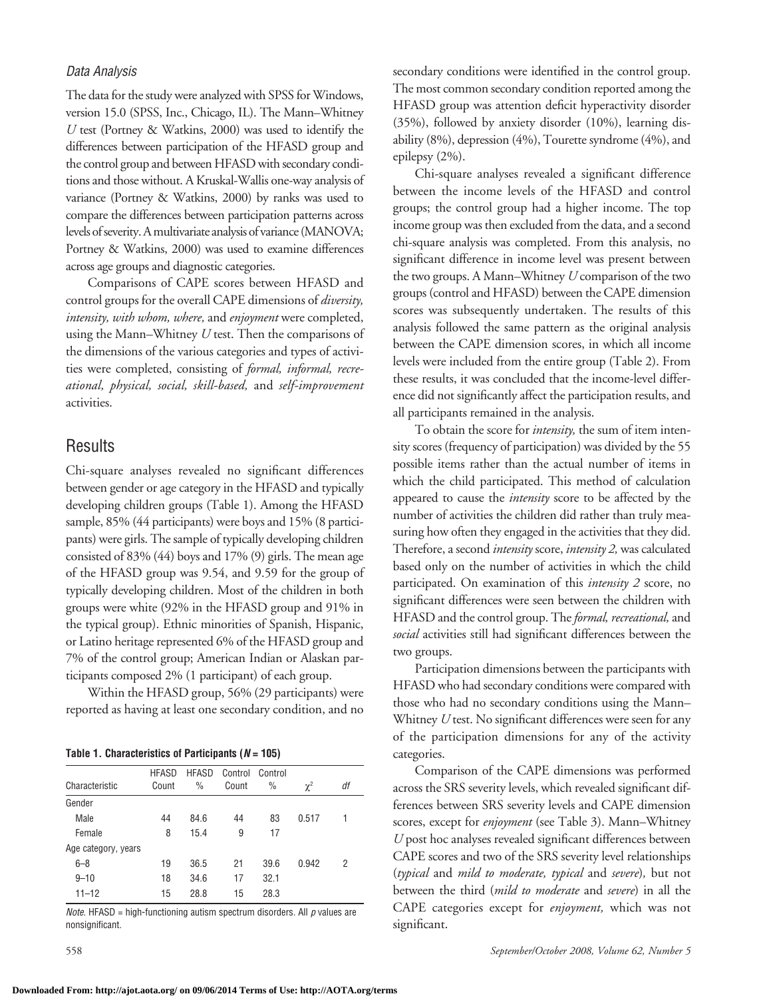#### *Data Analysis*

The data for the study were analyzed with SPSS for Windows, version 15.0 (SPSS, Inc., Chicago, IL). The Mann–Whitney *U* test (Portney & Watkins, 2000) was used to identify the differences between participation of the HFASD group and the control group and between HFASD with secondary conditions and those without. A Kruskal-Wallis one-way analysis of variance (Portney & Watkins, 2000) by ranks was used to compare the differences between participation patterns across levels of severity. A multivariate analysis of variance (MANOVA; Portney & Watkins, 2000) was used to examine differences across age groups and diagnostic categories.

Comparisons of CAPE scores between HFASD and control groups for the overall CAPE dimensions of *diversity, intensity, with whom, where,* and *enjoyment* were completed, using the Mann–Whitney *U* test. Then the comparisons of the dimensions of the various categories and types of activities were completed, consisting of *formal, informal, recreational, physical, social, skill-based,* and *self-improvement*  activities.

## **Results**

Chi-square analyses revealed no significant differences between gender or age category in the HFASD and typically developing children groups (Table 1). Among the HFASD sample, 85% (44 participants) were boys and 15% (8 participants) were girls. The sample of typically developing children consisted of 83% (44) boys and 17% (9) girls. The mean age of the HFASD group was 9.54, and 9.59 for the group of typically developing children. Most of the children in both groups were white (92% in the HFASD group and 91% in the typical group). Ethnic minorities of Spanish, Hispanic, or Latino heritage represented 6% of the HFASD group and 7% of the control group; American Indian or Alaskan participants composed 2% (1 participant) of each group.

Within the HFASD group, 56% (29 participants) were reported as having at least one secondary condition, and no

**Table 1. Characteristics of Participants (***N* **= 105)**

| Characteristic      | <b>HFASD</b><br>Count | <b>HFASD</b><br>% | Control<br>Count | Control<br>$\%$ | $\chi^2$ | df |
|---------------------|-----------------------|-------------------|------------------|-----------------|----------|----|
| Gender              |                       |                   |                  |                 |          |    |
| Male                | 44                    | 84.6              | 44               | 83              | 0.517    | 1  |
| Female              | 8                     | 15.4              | 9                | 17              |          |    |
| Age category, years |                       |                   |                  |                 |          |    |
| $6 - 8$             | 19                    | 36.5              | 21               | 39.6            | 0.942    | 2  |
| $9 - 10$            | 18                    | 34.6              | 17               | 32.1            |          |    |
| $11 - 12$           | 15                    | 28.8              | 15               | 28.3            |          |    |

*Note.* HFASD = high-functioning autism spectrum disorders. All *p* values are nonsignificant.

secondary conditions were identified in the control group. The most common secondary condition reported among the HFASD group was attention deficit hyperactivity disorder (35%), followed by anxiety disorder (10%), learning disability (8%), depression (4%), Tourette syndrome (4%), and epilepsy (2%).

Chi-square analyses revealed a significant difference between the income levels of the HFASD and control groups; the control group had a higher income. The top income group was then excluded from the data, and a second chi-square analysis was completed. From this analysis, no significant difference in income level was present between the two groups. A Mann–Whitney *U* comparison of the two groups (control and HFASD) between the CAPE dimension scores was subsequently undertaken. The results of this analysis followed the same pattern as the original analysis between the CAPE dimension scores, in which all income levels were included from the entire group (Table 2). From these results, it was concluded that the income-level difference did not significantly affect the participation results, and all participants remained in the analysis.

To obtain the score for *intensity,* the sum of item intensity scores (frequency of participation) was divided by the 55 possible items rather than the actual number of items in which the child participated. This method of calculation appeared to cause the *intensity* score to be affected by the number of activities the children did rather than truly measuring how often they engaged in the activities that they did. Therefore, a second *intensity* score, *intensity 2,* was calculated based only on the number of activities in which the child participated. On examination of this *intensity 2* score, no significant differences were seen between the children with HFASD and the control group. The*formal, recreational,* and *social* activities still had significant differences between the two groups.

Participation dimensions between the participants with HFASD who had secondary conditions were compared with those who had no secondary conditions using the Mann– Whitney *U* test. No significant differences were seen for any of the participation dimensions for any of the activity categories.

Comparison of the CAPE dimensions was performed across the SRS severity levels, which revealed significant differences between SRS severity levels and CAPE dimension scores, except for *enjoyment* (see Table 3). Mann–Whitney *U* post hoc analyses revealed significant differences between CAPE scores and two of the SRS severity level relationships (*typical* and *mild to moderate, typical* and *severe*)*,* but not between the third (*mild to moderate* and *severe*) in all the CAPE categories except for *enjoyment,* which was not significant.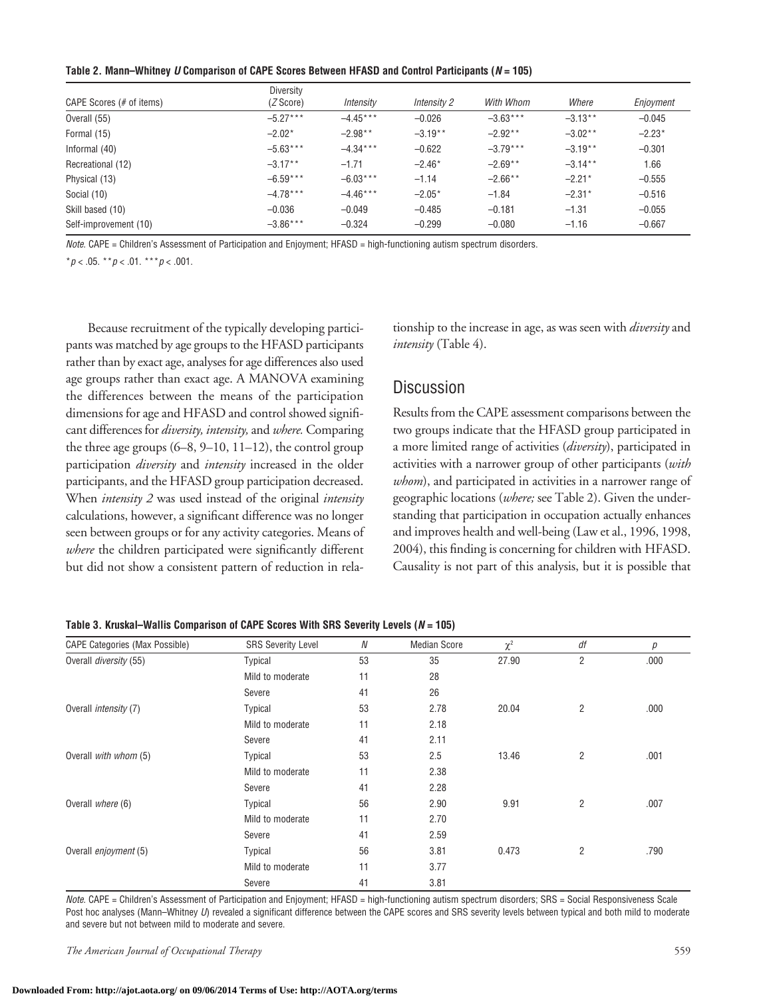**Table 2. Mann–Whitney** *U* **Comparison of CAPE Scores Between HFASD and Control Participants (***N* **= 105)**

|                          | Diversity         |            |             |            |           |           |
|--------------------------|-------------------|------------|-------------|------------|-----------|-----------|
| CAPE Scores (# of items) | ( <i>Z</i> Score) | Intensity  | Intensity 2 | With Whom  | Where     | Enjoyment |
| Overall (55)             | $-5.27***$        | $-4.45***$ | $-0.026$    | $-3.63***$ | $-3.13**$ | $-0.045$  |
| Formal (15)              | $-2.02*$          | $-2.98**$  | $-3.19**$   | $-2.92**$  | $-3.02**$ | $-2.23*$  |
| Informal (40)            | $-5.63***$        | $-4.34***$ | $-0.622$    | $-3.79***$ | $-3.19**$ | $-0.301$  |
| Recreational (12)        | $-3.17**$         | $-1.71$    | $-2.46*$    | $-2.69**$  | $-3.14**$ | 1.66      |
| Physical (13)            | $-6.59***$        | $-6.03***$ | $-1.14$     | $-2.66**$  | $-2.21*$  | $-0.555$  |
| Social (10)              | $-4.78***$        | $-4.46***$ | $-2.05*$    | $-1.84$    | $-2.31*$  | $-0.516$  |
| Skill based (10)         | $-0.036$          | $-0.049$   | $-0.485$    | $-0.181$   | $-1.31$   | $-0.055$  |
| Self-improvement (10)    | $-3.86***$        | $-0.324$   | $-0.299$    | $-0.080$   | $-1.16$   | $-0.667$  |

*Note.* CAPE = Children's Assessment of Participation and Enjoyment; HFASD = high-functioning autism spectrum disorders.

\**p* < .05. \*\**p* < .01. \*\*\**p* < .001.

Because recruitment of the typically developing participants was matched by age groups to the HFASD participants rather than by exact age, analyses for age differences also used age groups rather than exact age. A MANOVA examining the differences between the means of the participation dimensions for age and HFASD and control showed significant differences for *diversity, intensity,* and *where.* Comparing the three age groups  $(6-8, 9-10, 11-12)$ , the control group participation *diversity* and *intensity* increased in the older participants, and the HFASD group participation decreased. When *intensity 2* was used instead of the original *intensity* calculations, however, a significant difference was no longer seen between groups or for any activity categories. Means of *where* the children participated were significantly different but did not show a consistent pattern of reduction in rela-

tionship to the increase in age, as was seen with *diversity* and *intensity* (Table 4).

# **Discussion**

Results from the CAPE assessment comparisons between the two groups indicate that the HFASD group participated in a more limited range of activities (*diversity*), participated in activities with a narrower group of other participants (*with whom*), and participated in activities in a narrower range of geographic locations (*where;* see Table 2). Given the understanding that participation in occupation actually enhances and improves health and well-being (Law et al., 1996, 1998, 2004), this finding is concerning for children with HFASD. Causality is not part of this analysis, but it is possible that

| <b>CAPE Categories (Max Possible)</b> | <b>SRS Severity Level</b> | N  | <b>Median Score</b> | $\chi^2$ | df             | р    |
|---------------------------------------|---------------------------|----|---------------------|----------|----------------|------|
| Overall diversity (55)                | <b>Typical</b>            | 53 | 35                  | 27.90    | $\overline{2}$ | .000 |
|                                       | Mild to moderate          | 11 | 28                  |          |                |      |
|                                       | Severe                    | 41 | 26                  |          |                |      |
| Overall <i>intensity</i> (7)          | <b>Typical</b>            | 53 | 2.78                | 20.04    | 2              | .000 |
|                                       | Mild to moderate          | 11 | 2.18                |          |                |      |
|                                       | Severe                    | 41 | 2.11                |          |                |      |
| Overall with whom (5)                 | <b>Typical</b>            | 53 | 2.5                 | 13.46    | $\overline{2}$ | .001 |
|                                       | Mild to moderate          | 11 | 2.38                |          |                |      |
|                                       | Severe                    | 41 | 2.28                |          |                |      |
| Overall where (6)                     | <b>Typical</b>            | 56 | 2.90                | 9.91     | $\overline{2}$ | .007 |
|                                       | Mild to moderate          | 11 | 2.70                |          |                |      |
|                                       | Severe                    | 41 | 2.59                |          |                |      |
| Overall <i>enjoyment</i> (5)          | <b>Typical</b>            | 56 | 3.81                | 0.473    | $\overline{2}$ | .790 |
|                                       | Mild to moderate          | 11 | 3.77                |          |                |      |
|                                       | Severe                    | 41 | 3.81                |          |                |      |

**Table 3. Kruskal–Wallis Comparison of CAPE Scores With SRS Severity Levels (***N* **= 105)**

*Note.* CAPE = Children's Assessment of Participation and Enjoyment; HFASD = high-functioning autism spectrum disorders; SRS = Social Responsiveness Scale Post hoc analyses (Mann–Whitney *U*) revealed a significant difference between the CAPE scores and SRS severity levels between typical and both mild to moderate and severe but not between mild to moderate and severe.

*The American Journal of Occupational Therapy* 559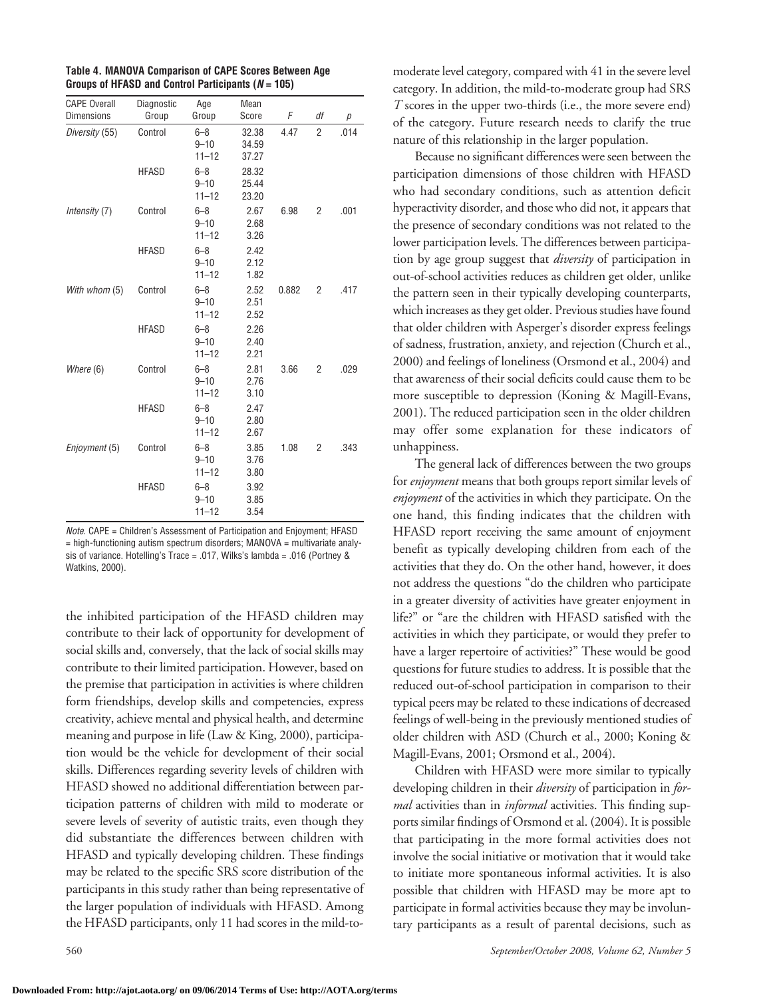| <b>CAPE Overall</b><br><b>Dimensions</b> | Diagnostic<br>Group | Age<br>Group                     | Mean<br>Score           | F     | df             | р    |
|------------------------------------------|---------------------|----------------------------------|-------------------------|-------|----------------|------|
| Diversity (55)                           | Control             | $6 - 8$<br>$9 - 10$<br>$11 - 12$ | 32.38<br>34.59<br>37.27 | 4.47  | $\overline{2}$ | .014 |
|                                          | <b>HFASD</b>        | $6 - 8$<br>$9 - 10$<br>$11 - 12$ | 28.32<br>25.44<br>23.20 |       |                |      |
| Intensity (7)                            | Control             | $6 - 8$<br>$9 - 10$<br>$11 - 12$ | 2.67<br>2.68<br>3.26    | 6.98  | $\overline{2}$ | .001 |
|                                          | <b>HFASD</b>        | $6 - 8$<br>$9 - 10$<br>$11 - 12$ | 2.42<br>2.12<br>1.82    |       |                |      |
| With whom (5)                            | Control             | $6 - 8$<br>$9 - 10$<br>$11 - 12$ | 2.52<br>2.51<br>2.52    | 0.882 | $\overline{2}$ | .417 |
|                                          | <b>HFASD</b>        | $6 - 8$<br>$9 - 10$<br>$11 - 12$ | 2.26<br>2.40<br>2.21    |       |                |      |
| Where (6)                                | Control             | $6 - 8$<br>$9 - 10$<br>$11 - 12$ | 2.81<br>2.76<br>3.10    | 3.66  | 2              | .029 |
|                                          | <b>HFASD</b>        | $6 - 8$<br>$9 - 10$<br>$11 - 12$ | 2.47<br>2.80<br>2.67    |       |                |      |
| Enjoyment (5)                            | Control             | $6 - 8$<br>$9 - 10$<br>$11 - 12$ | 3.85<br>3.76<br>3.80    | 1.08  | 2              | .343 |
|                                          | <b>HFASD</b>        | $6 - 8$<br>$9 - 10$<br>$11 - 12$ | 3.92<br>3.85<br>3.54    |       |                |      |

**Table 4. MANOVA Comparison of CAPE Scores Between Age Groups of HFASD and Control Participants (***N* **= 105)**

*Note.* CAPE = Children's Assessment of Participation and Enjoyment; HFASD = high-functioning autism spectrum disorders; MANOVA = multivariate analysis of variance. Hotelling's Trace = .017, Wilks's lambda = .016 (Portney & Watkins, 2000).

the inhibited participation of the HFASD children may contribute to their lack of opportunity for development of social skills and, conversely, that the lack of social skills may contribute to their limited participation. However, based on the premise that participation in activities is where children form friendships, develop skills and competencies, express creativity, achieve mental and physical health, and determine meaning and purpose in life (Law & King, 2000), participation would be the vehicle for development of their social skills. Differences regarding severity levels of children with HFASD showed no additional differentiation between participation patterns of children with mild to moderate or severe levels of severity of autistic traits, even though they did substantiate the differences between children with HFASD and typically developing children. These findings may be related to the specific SRS score distribution of the participants in this study rather than being representative of the larger population of individuals with HFASD. Among the HFASD participants, only 11 had scores in the mild-tomoderate level category, compared with 41 in the severe level category. In addition, the mild-to-moderate group had SRS *T* scores in the upper two-thirds (i.e., the more severe end) of the category. Future research needs to clarify the true nature of this relationship in the larger population.

Because no significant differences were seen between the participation dimensions of those children with HFASD who had secondary conditions, such as attention deficit hyperactivity disorder, and those who did not, it appears that the presence of secondary conditions was not related to the lower participation levels. The differences between participation by age group suggest that *diversity* of participation in out-of-school activities reduces as children get older, unlike the pattern seen in their typically developing counterparts, which increases as they get older. Previous studies have found that older children with Asperger's disorder express feelings of sadness, frustration, anxiety, and rejection (Church et al., 2000) and feelings of loneliness (Orsmond et al., 2004) and that awareness of their social deficits could cause them to be more susceptible to depression (Koning & Magill-Evans, 2001). The reduced participation seen in the older children may offer some explanation for these indicators of unhappiness.

The general lack of differences between the two groups for *enjoyment* means that both groups report similar levels of *enjoyment* of the activities in which they participate. On the one hand, this finding indicates that the children with HFASD report receiving the same amount of enjoyment benefit as typically developing children from each of the activities that they do. On the other hand, however, it does not address the questions "do the children who participate in a greater diversity of activities have greater enjoyment in life?" or "are the children with HFASD satisfied with the activities in which they participate, or would they prefer to have a larger repertoire of activities?" These would be good questions for future studies to address. It is possible that the reduced out-of-school participation in comparison to their typical peers may be related to these indications of decreased feelings of well-being in the previously mentioned studies of older children with ASD (Church et al., 2000; Koning & Magill-Evans, 2001; Orsmond et al., 2004).

Children with HFASD were more similar to typically developing children in their *diversity* of participation in *formal* activities than in *informal* activities. This finding supports similar findings of Orsmond et al. (2004). It is possible that participating in the more formal activities does not involve the social initiative or motivation that it would take to initiate more spontaneous informal activities. It is also possible that children with HFASD may be more apt to participate in formal activities because they may be involuntary participants as a result of parental decisions, such as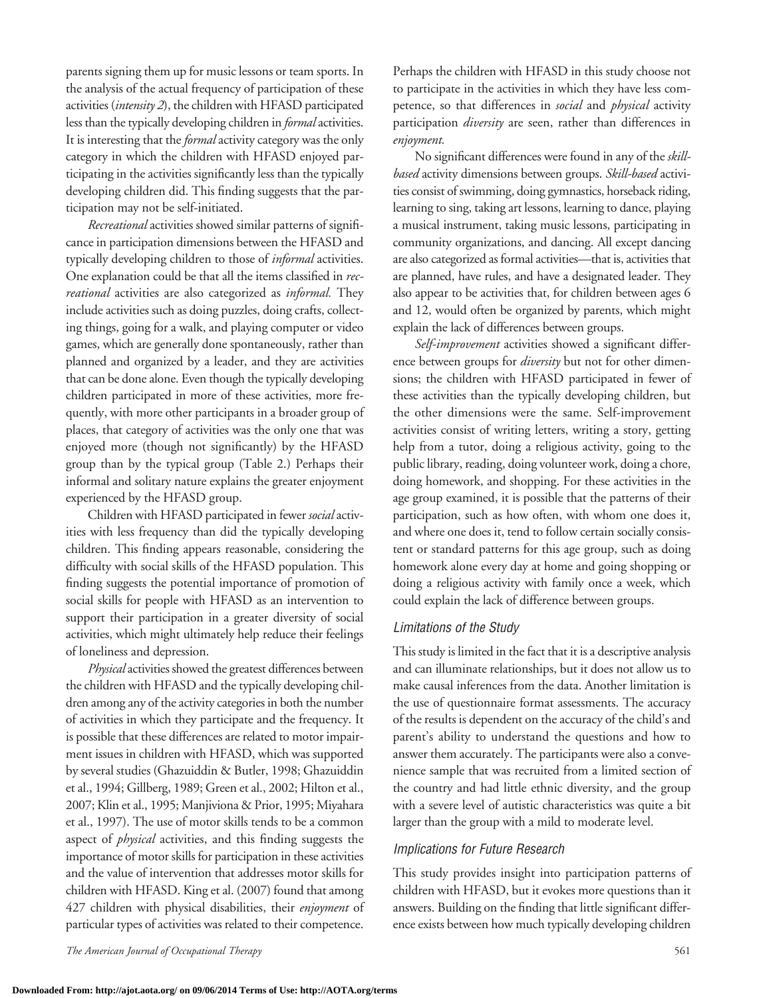parents signing them up for music lessons or team sports. In the analysis of the actual frequency of participation of these activities (*intensity 2*), the children with HFASD participated less than the typically developing children in *formal* activities. It is interesting that the*formal* activity category was the only category in which the children with HFASD enjoyed participating in the activities significantly less than the typically developing children did. This finding suggests that the participation may not be self-initiated.

*Recreational* activities showed similar patterns of significance in participation dimensions between the HFASD and typically developing children to those of *informal* activities. One explanation could be that all the items classified in *recreational* activities are also categorized as *informal.* They include activities such as doing puzzles, doing crafts, collecting things, going for a walk, and playing computer or video games, which are generally done spontaneously, rather than planned and organized by a leader, and they are activities that can be done alone. Even though the typically developing children participated in more of these activities, more frequently, with more other participants in a broader group of places, that category of activities was the only one that was enjoyed more (though not significantly) by the HFASD group than by the typical group (Table 2.) Perhaps their informal and solitary nature explains the greater enjoyment experienced by the HFASD group.

Children with HFASD participated in fewer *social* activities with less frequency than did the typically developing children. This finding appears reasonable, considering the difficulty with social skills of the HFASD population. This finding suggests the potential importance of promotion of social skills for people with HFASD as an intervention to support their participation in a greater diversity of social activities, which might ultimately help reduce their feelings of loneliness and depression.

*Physical* activities showed the greatest differences between the children with HFASD and the typically developing children among any of the activity categories in both the number of activities in which they participate and the frequency. It is possible that these differences are related to motor impairment issues in children with HFASD, which was supported by several studies (Ghazuiddin & Butler, 1998; Ghazuiddin et al., 1994; Gillberg, 1989; Green et al., 2002; Hilton et al., 2007; Klin et al., 1995; Manjiviona & Prior, 1995; Miyahara et al., 1997). The use of motor skills tends to be a common aspect of *physical* activities, and this finding suggests the importance of motor skills for participation in these activities and the value of intervention that addresses motor skills for children with HFASD. King et al. (2007) found that among 427 children with physical disabilities, their *enjoyment* of particular types of activities was related to their competence.

Perhaps the children with HFASD in this study choose not to participate in the activities in which they have less competence, so that differences in *social* and *physical* activity participation *diversity* are seen, rather than differences in *enjoyment.*

No significant differences were found in any of the *skillbased* activity dimensions between groups. *Skill-based* activities consist of swimming, doing gymnastics, horseback riding, learning to sing, taking art lessons, learning to dance, playing a musical instrument, taking music lessons, participating in community organizations, and dancing. All except dancing are also categorized as formal activities—that is, activities that are planned, have rules, and have a designated leader. They also appear to be activities that, for children between ages 6 and 12, would often be organized by parents, which might explain the lack of differences between groups.

*Self-improvement* activities showed a significant difference between groups for *diversity* but not for other dimensions; the children with HFASD participated in fewer of these activities than the typically developing children, but the other dimensions were the same. Self-improvement activities consist of writing letters, writing a story, getting help from a tutor, doing a religious activity, going to the public library, reading, doing volunteer work, doing a chore, doing homework, and shopping. For these activities in the age group examined, it is possible that the patterns of their participation, such as how often, with whom one does it, and where one does it, tend to follow certain socially consistent or standard patterns for this age group, such as doing homework alone every day at home and going shopping or doing a religious activity with family once a week, which could explain the lack of difference between groups.

## *Limitations of the Study*

This study is limited in the fact that it is a descriptive analysis and can illuminate relationships, but it does not allow us to make causal inferences from the data. Another limitation is the use of questionnaire format assessments. The accuracy of the results is dependent on the accuracy of the child's and parent's ability to understand the questions and how to answer them accurately. The participants were also a convenience sample that was recruited from a limited section of the country and had little ethnic diversity, and the group with a severe level of autistic characteristics was quite a bit larger than the group with a mild to moderate level.

#### *Implications for Future Research*

This study provides insight into participation patterns of children with HFASD, but it evokes more questions than it answers. Building on the finding that little significant difference exists between how much typically developing children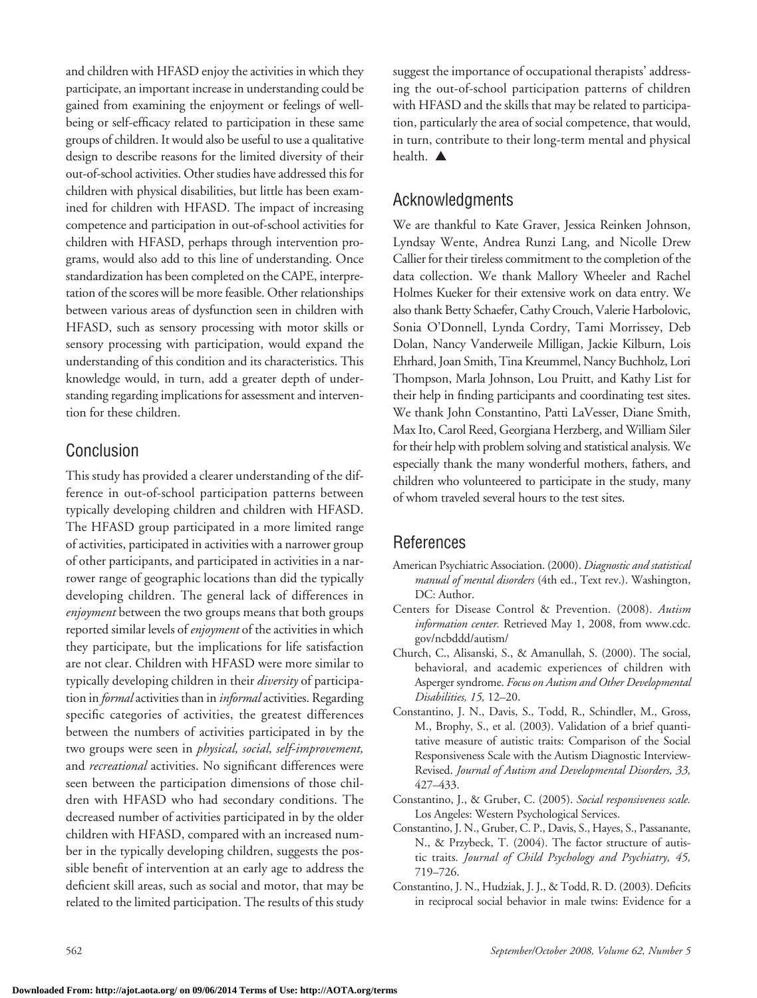and children with HFASD enjoy the activities in which they participate, an important increase in understanding could be gained from examining the enjoyment or feelings of wellbeing or self-efficacy related to participation in these same groups of children. It would also be useful to use a qualitative design to describe reasons for the limited diversity of their out-of-school activities. Other studies have addressed this for children with physical disabilities, but little has been examined for children with HFASD. The impact of increasing competence and participation in out-of-school activities for children with HFASD, perhaps through intervention programs, would also add to this line of understanding. Once standardization has been completed on the CAPE, interpretation of the scores will be more feasible. Other relationships between various areas of dysfunction seen in children with HFASD, such as sensory processing with motor skills or sensory processing with participation, would expand the understanding of this condition and its characteristics. This knowledge would, in turn, add a greater depth of understanding regarding implications for assessment and intervention for these children.

# Conclusion

This study has provided a clearer understanding of the difference in out-of-school participation patterns between typically developing children and children with HFASD. The HFASD group participated in a more limited range of activities, participated in activities with a narrower group of other participants, and participated in activities in a narrower range of geographic locations than did the typically developing children. The general lack of differences in *enjoyment* between the two groups means that both groups reported similar levels of *enjoyment* of the activities in which they participate, but the implications for life satisfaction are not clear. Children with HFASD were more similar to typically developing children in their *diversity* of participation in *formal* activities than in *informal* activities. Regarding specific categories of activities, the greatest differences between the numbers of activities participated in by the two groups were seen in *physical, social, self-improvement,* and *recreational* activities. No significant differences were seen between the participation dimensions of those children with HFASD who had secondary conditions. The decreased number of activities participated in by the older children with HFASD, compared with an increased number in the typically developing children, suggests the possible benefit of intervention at an early age to address the deficient skill areas, such as social and motor, that may be related to the limited participation. The results of this study suggest the importance of occupational therapists' addressing the out-of-school participation patterns of children with HFASD and the skills that may be related to participation, particularly the area of social competence, that would, in turn, contribute to their long-term mental and physical health.  $\triangle$ 

# Acknowledgments

We are thankful to Kate Graver, Jessica Reinken Johnson, Lyndsay Wente, Andrea Runzi Lang, and Nicolle Drew Callier for their tireless commitment to the completion of the data collection. We thank Mallory Wheeler and Rachel Holmes Kueker for their extensive work on data entry. We also thank Betty Schaefer, Cathy Crouch, Valerie Harbolovic, Sonia O'Donnell, Lynda Cordry, Tami Morrissey, Deb Dolan, Nancy Vanderweile Milligan, Jackie Kilburn, Lois Ehrhard, Joan Smith, Tina Kreummel, Nancy Buchholz, Lori Thompson, Marla Johnson, Lou Pruitt, and Kathy List for their help in finding participants and coordinating test sites. We thank John Constantino, Patti LaVesser, Diane Smith, Max Ito, Carol Reed, Georgiana Herzberg, and William Siler for their helpwith problem solving and statistical analysis. We especially thank the many wonderful mothers, fathers, and children who volunteered to participate in the study, many of whom traveled several hours to the test sites.

# References

- American Psychiatric Association. (2000). *Diagnostic and statistical manual of mental disorders* (4th ed., Text rev.). Washington, DC: Author.
- Centers for Disease Control & Prevention. (2008). *Autism information center.* Retrieved May 1, 2008, from www.cdc. gov/ncbddd/autism/
- Church, C., Alisanski, S., & Amanullah, S. (2000). The social, behavioral, and academic experiences of children with Asperger syndrome. *Focus on Autism and Other Developmental Disabilities, 15,* 12–20.
- Constantino, J. N., Davis, S., Todd, R., Schindler, M., Gross, M., Brophy, S., et al. (2003). Validation of a brief quantitative measure of autistic traits: Comparison of the Social Responsiveness Scale with the Autism Diagnostic Interview-Revised. *Journal of Autism and Developmental Disorders, 33,* 427–433.
- Constantino, J., & Gruber, C. (2005). *Social responsiveness scale.* Los Angeles: Western Psychological Services.
- Constantino, J. N., Gruber, C. P., Davis, S., Hayes, S., Passanante, N., & Przybeck, T. (2004). The factor structure of autistic traits*. Journal of Child Psychology and Psychiatry, 45,* 719–726.
- Constantino, J. N., Hudziak, J. J., & Todd, R. D. (2003). Deficits in reciprocal social behavior in male twins: Evidence for a